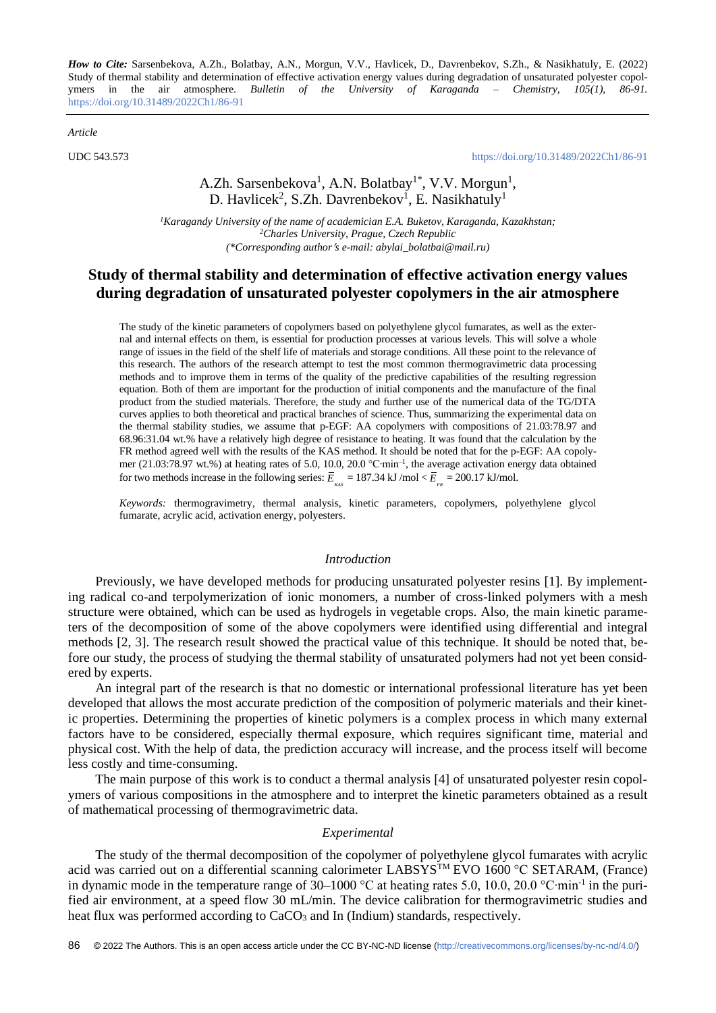*How to Cite:* Sarsenbekova, A.Zh., Bolatbay, A.N., Morgun, V.V., Havlicek, D., Davrenbekov, S.Zh., & Nasikhatuly, E. (2022) Study of thermal stability and determination of effective activation energy values during degradation of unsaturated polyester copolymers in the air atmosphere. *Bulletin of the University of Karaganda – Chemistry, 105(1), 86-91.*  <https://doi.org/10.31489/2022Ch1/86-91>

*Article*

UDC 543.573 <https://doi.org/10.31489/2022Ch1/86-91>

## A.Zh. Sarsenbekova<sup>1</sup>, A.N. Bolatbay<sup>1\*</sup>, V.V. Morgun<sup>1</sup>, D. Havlicek<sup>2</sup>, S.Zh. Davrenbekov<sup>1</sup>, E. Nasikhatuly<sup>1</sup>

*<sup>1</sup>Karagandy University of the name of academician E.A. Buketov, Karaganda, Kazakhstan; <sup>2</sup>Charles University, Prague, Czech Republic (\*Corresponding authors e-mail[: abylai\\_bolatbai@mail.ru\)](mailto:abylai_bolatbai@mail.ru)*

## **Study of thermal stability and determination of effective activation energy values during degradation of unsaturated polyester copolymers in the air atmosphere**

The study of the kinetic parameters of copolymers based on polyethylene glycol fumarates, as well as the external and internal effects on them, is essential for production processes at various levels. This will solve a whole range of issues in the field of the shelf life of materials and storage conditions. All these point to the relevance of this research. The authors of the research attempt to test the most common thermogravimetric data processing methods and to improve them in terms of the quality of the predictive capabilities of the resulting regression equation. Both of them are important for the production of initial components and the manufacture of the final product from the studied materials. Therefore, the study and further use of the numerical data of the TG/DTA curves applies to both theoretical and practical branches of science. Thus, summarizing the experimental data on the thermal stability studies, we assume that p-EGF: AA copolymers with compositions of 21.03:78.97 and 68.96:31.04 wt.% have a relatively high degree of resistance to heating. It was found that the calculation by the FR method agreed well with the results of the KAS method. It should be noted that for the p-EGF: AA copolymer (21.03:78.97 wt.%) at heating rates of 5.0, 10.0, 20.0 °C·min<sup>-1</sup>, the average activation energy data obtained for two methods increase in the following series:  $\overline{E}_{_{KAS}} = 187.34 \text{ kJ/mol} < \overline{E}_{_{FR}} = 200.17 \text{ kJ/mol}$ .

*Keywords:* thermogravimetry*,* thermal analysis, kinetic parameters, copolymers, polyethylene glycol fumarate, acrylic acid, activation energy, polyesters.

### *Introduction*

Previously, we have developed methods for producing unsaturated polyester resins [1]. By implementing radical co-and terpolymerization of ionic monomers, a number of cross-linked polymers with a mesh structure were obtained, which can be used as hydrogels in vegetable crops. Also, the main kinetic parameters of the decomposition of some of the above copolymers were identified using differential and integral methods [2, 3]. The research result showed the practical value of this technique. It should be noted that, before our study, the process of studying the thermal stability of unsaturated polymers had not yet been considered by experts.

An integral part of the research is that no domestic or international professional literature has yet been developed that allows the most accurate prediction of the composition of polymeric materials and their kinetic properties. Determining the properties of kinetic polymers is a complex process in which many external factors have to be considered, especially thermal exposure, which requires significant time, material and physical cost. With the help of data, the prediction accuracy will increase, and the process itself will become less costly and time-consuming.

The main purpose of this work is to conduct a thermal analysis [4] of unsaturated polyester resin copolymers of various compositions in the atmosphere and to interpret the kinetic parameters obtained as a result of mathematical processing of thermogravimetric data.

## *Experimental*

The study of the thermal decomposition of the copolymer of polyethylene glycol fumarates with acrylic acid was carried out on a differential scanning calorimeter LABSYS<sup>TM</sup> EVO 1600 °C SETARAM, (France) in dynamic mode in the temperature range of 30–1000 °C at heating rates 5.0, 10.0, 20.0 °C∙min-1 in the purified air environment, at a speed flow 30 mL/min. The device calibration for thermogravimetric studies and heat flux was performed according to CaCO<sub>3</sub> and In (Indium) standards, respectively.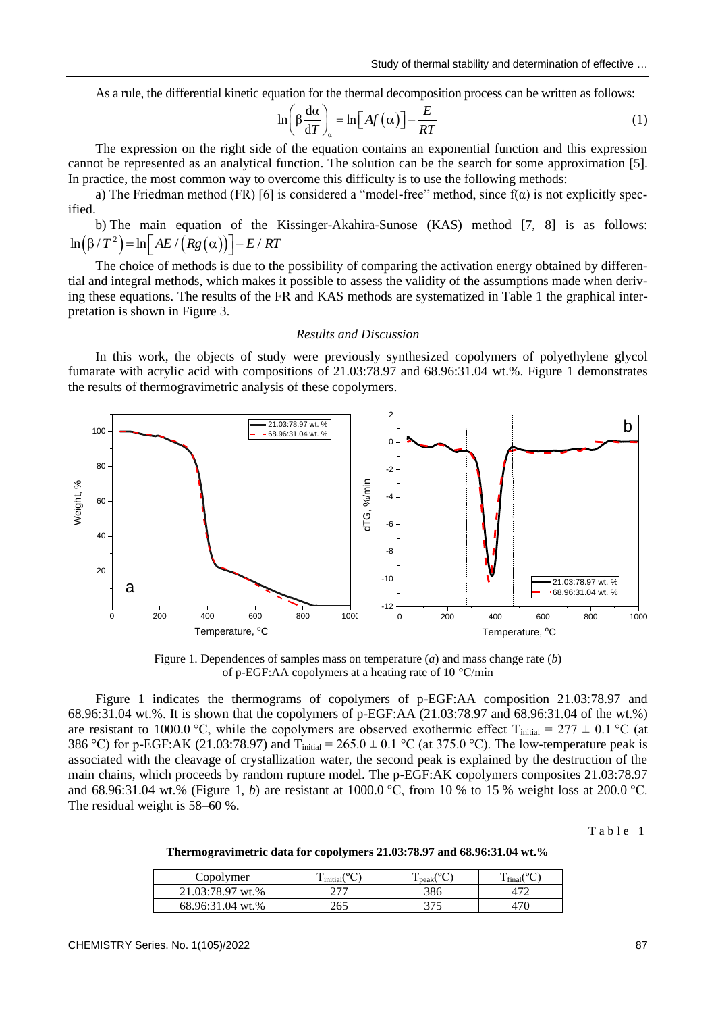As a rule, the differential kinetic equation for the thermal decomposition process can be written as follows:

$$
\ln\left(\beta \frac{d\alpha}{dT}\right)_{\alpha} = \ln\left[Af\left(\alpha\right)\right] - \frac{E}{RT}
$$
 (1)

The expression on the right side of the equation contains an exponential function and this expression cannot be represented as an analytical function. The solution can be the search for some approximation [5]. In practice, the most common way to overcome this difficulty is to use the following methods:

a) The Friedman method (FR) [6] is considered a "model-free" method, since  $f(\alpha)$  is not explicitly specified.

b) The main equation of the Kissinger-Akahira-Sunose (KAS) method [7, 8] is as follows:  $(\beta/T^2)$  = ln  $AE/(Rg(\alpha))$ b) The main equation of the 1<br> $\ln(\beta/T^2) = \ln[AE/(Rg(\alpha))] - E/RT$ 

The choice of methods is due to the possibility of comparing the activation energy obtained by differential and integral methods, which makes it possible to assess the validity of the assumptions made when deriving these equations. The results of the FR and KAS methods are systematized in Table 1 the graphical interpretation is shown in Figure 3.

### *Results and Discussion*

In this work, the objects of study were previously synthesized copolymers of polyethylene glycol fumarate with acrylic acid with compositions of 21.03:78.97 and 68.96:31.04 wt.%. Figure 1 demonstrates the results of thermogravimetric analysis of these copolymers.



Figure 1. Dependences of samples mass on temperature (*a*) and mass change rate (*b*) of p-EGF:AA copolymers at a heating rate of 10 °C/min

Figure 1 indicates the thermograms of copolymers of p-EGF:AA composition 21.03:78.97 and 68.96:31.04 wt.%. It is shown that the copolymers of p-EGF:AA (21.03:78.97 and 68.96:31.04 of the wt.%) are resistant to 1000.0 °C, while the copolymers are observed exothermic effect T<sub>initial</sub> = 277  $\pm$  0.1 °C (at 386 °C) for p-EGF:AK (21.03:78.97) and  $T_{initial} = 265.0 \pm 0.1$  °C (at 375.0 °C). The low-temperature peak is associated with the cleavage of crystallization water, the second peak is explained by the destruction of the main chains, which proceeds by random rupture model. The p-EGF:AK copolymers composites 21.03:78.97 and 68.96:31.04 wt.% (Figure 1, *b*) are resistant at 1000.0 °C, from 10 % to 15 % weight loss at 200.0 °C. The residual weight is 58–60 %.

Table 1

**Thermogravimetric data for copolymers 21.03:78.97 and 68.96:31.04 wt.%**

| Copolymer        | .<br>initial | Ē<br>peak | tına. |
|------------------|--------------|-----------|-------|
| 21.03:78.97 wt.% | ררר          | 386       |       |
| 68.96:31.04 wt.% |              | つつよ       |       |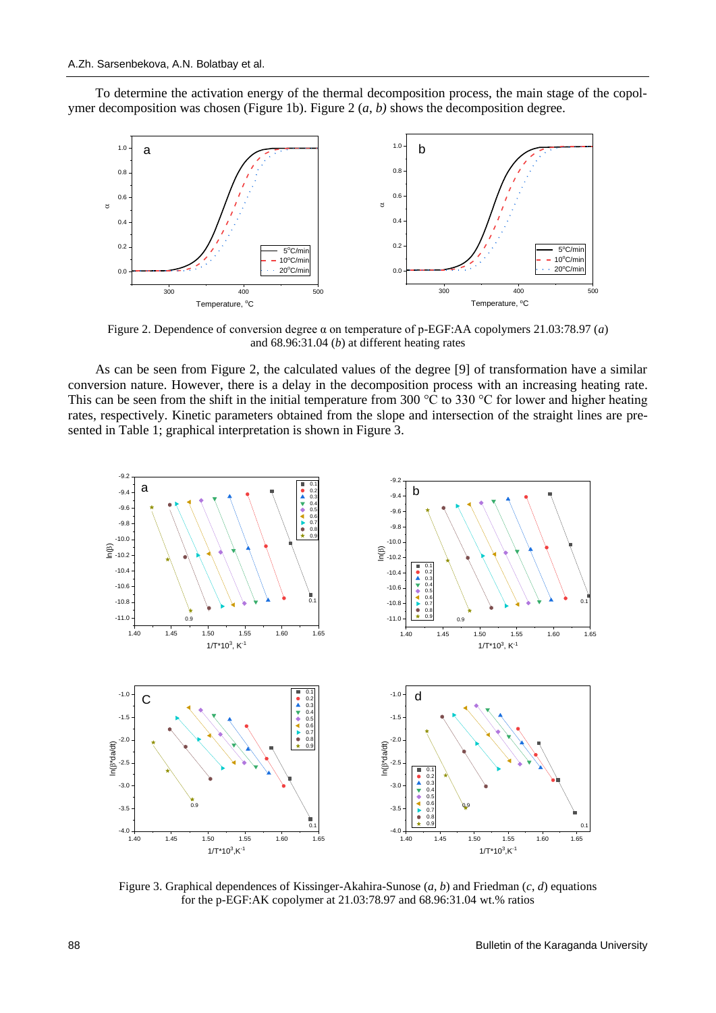To determine the activation energy of the thermal decomposition process, the main stage of the copolymer decomposition was chosen (Figure 1b). Figure 2 (*a*, *b)* shows the decomposition degree.



Figure 2. Dependence of conversion degree α on temperature of p-EGF:AA copolymers 21.03:78.97 (*a*) and 68.96:31.04 (*b*) at different heating rates

As can be seen from Figure 2, the calculated values of the degree [9] of transformation have a similar conversion nature. However, there is a delay in the decomposition process with an increasing heating rate. This can be seen from the shift in the initial temperature from 300  $^{\circ}$ C to 330  $^{\circ}$ C for lower and higher heating rates, respectively. Kinetic parameters obtained from the slope and intersection of the straight lines are presented in Table 1; graphical interpretation is shown in Figure 3.



Figure 3. Graphical dependences of Kissinger-Akahira-Sunose (*a*, *b*) and Friedman (*c*, *d*) equations for the p-EGF:AK copolymer at 21.03:78.97 and 68.96:31.04 wt.% ratios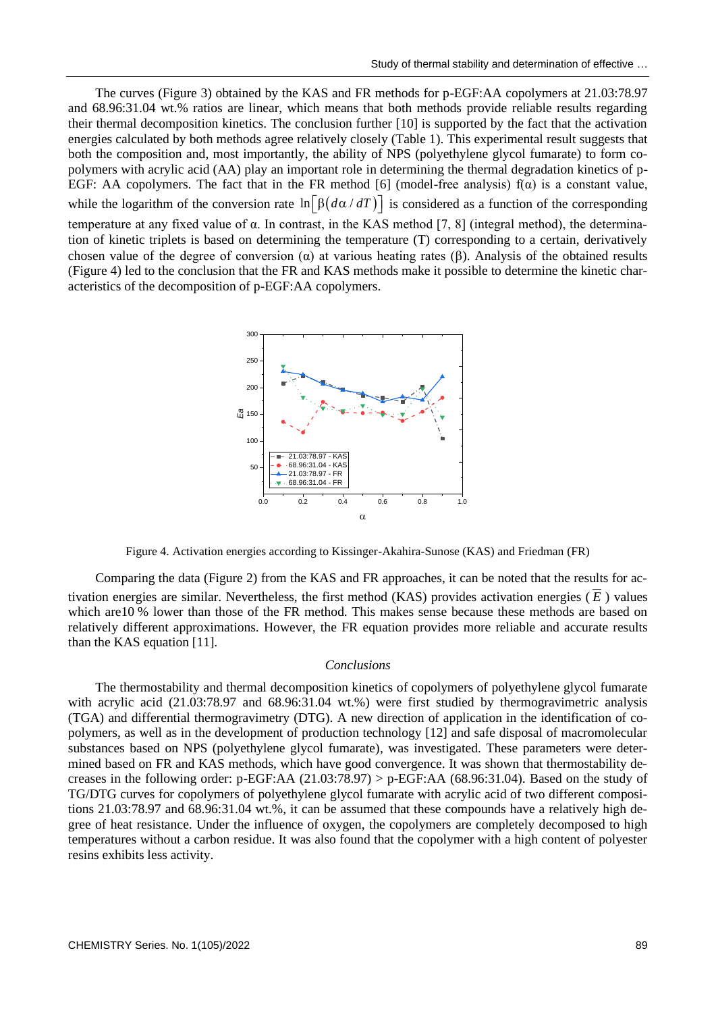The curves (Figure 3) obtained by the KAS and FR methods for p-EGF:AA copolymers at 21.03:78.97 and 68.96:31.04 wt.% ratios are linear, which means that both methods provide reliable results regarding their thermal decomposition kinetics. The conclusion further [10] is supported by the fact that the activation energies calculated by both methods agree relatively closely (Table 1). This experimental result suggests that both the composition and, most importantly, the ability of NPS (polyethylene glycol fumarate) to form copolymers with acrylic acid (AA) play an important role in determining the thermal degradation kinetics of p-EGF: AA copolymers. The fact that in the FR method [6] (model-free analysis)  $f(\alpha)$  is a constant value, while the logarithm of the conversion rate  $\ln[\beta(d\alpha/dT)]$  is considered as a function of the corresponding

temperature at any fixed value of α. In contrast, in the KAS method [7, 8] (integral method), the determination of kinetic triplets is based on determining the temperature (T) corresponding to a certain, derivatively chosen value of the degree of conversion  $(\alpha)$  at various heating rates ( $\beta$ ). Analysis of the obtained results (Figure 4) led to the conclusion that the FR and KAS methods make it possible to determine the kinetic characteristics of the decomposition of p-EGF:AA copolymers.



Figure 4. Activation energies according to Kissinger-Akahira-Sunose (KAS) and Friedman (FR)

Comparing the data (Figure 2) from the KAS and FR approaches, it can be noted that the results for activation energies are similar. Nevertheless, the first method (KAS) provides activation energies ( *E* ) values which are 10 % lower than those of the FR method. This makes sense because these methods are based on relatively different approximations. However, the FR equation provides more reliable and accurate results than the KAS equation [11].

### *Conclusions*

The thermostability and thermal decomposition kinetics of copolymers of polyethylene glycol fumarate with acrylic acid (21.03:78.97 and 68.96:31.04 wt.%) were first studied by thermogravimetric analysis (TGA) and differential thermogravimetry (DTG). A new direction of application in the identification of copolymers, as well as in the development of production technology [12] and safe disposal of macromolecular substances based on NPS (polyethylene glycol fumarate), was investigated. These parameters were determined based on FR and KAS methods, which have good convergence. It was shown that thermostability decreases in the following order: p-EGF:AA  $(21.03:78.97)$  > p-EGF:AA  $(68.96:31.04)$ . Based on the study of TG/DTG curves for copolymers of polyethylene glycol fumarate with acrylic acid of two different compositions 21.03:78.97 and 68.96:31.04 wt.%, it can be assumed that these compounds have a relatively high degree of heat resistance. Under the influence of oxygen, the copolymers are completely decomposed to high temperatures without a carbon residue. It was also found that the copolymer with a high content of polyester resins exhibits less activity.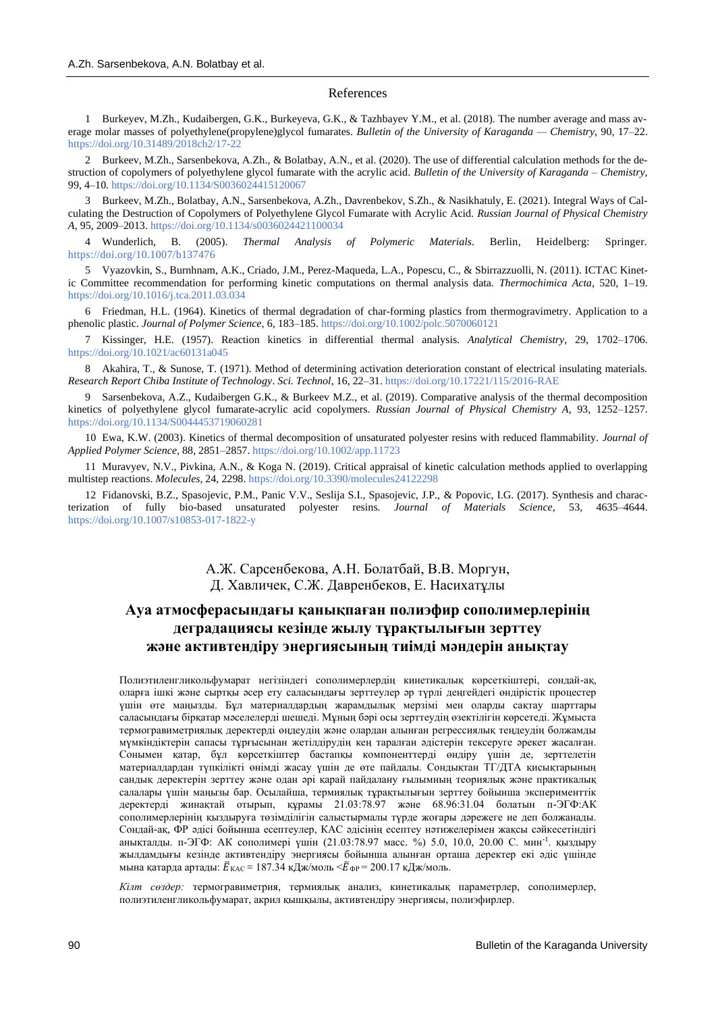#### References

1 Burkeyev, M.Zh., Kudaibergen, G.K., Burkeyeva, G.K., & Tazhbayev Y.M., et al. (2018). The number average and mass average molar masses of polyethylene(propylene)glycol fumarates. *Bulletin of the University of Karaganda — Chemistry*, 90, 17–22. <https://doi.org/10.31489/2018ch2/17-22>

2 Burkeev, M.Zh., Sarsenbekova, A.Zh., & Bolatbay, A.N., et al. (2020). The use of differential calculation methods for the destruction of copolymers of polyethylene glycol fumarate with the acrylic acid. *Bulletin of the University of Karaganda – Chemistry,* 99, 4–10. https://doi.org[/10.1134/S0036024415120067](http://dx.doi.org/10.1134/S0036024415120067)

3 Burkeev, M.Zh., Bolatbay, A.N., Sarsenbekova, A.Zh., Davrenbekov, S.Zh., & Nasikhatuly, E. (2021). Integral Ways of Calculating the Destruction of Copolymers of Polyethylene Glycol Fumarate with Acrylic Acid. *Russian Journal of Physical Chemistry A*, 95, 2009–2013. <https://doi.org/10.1134/s0036024421100034>

4 Wunderlich, B. (2005). *Thermal Analysis of Polymeric Materials*. Berlin, Heidelberg: Springer. <https://doi.org/10.1007/b137476>

5 Vyazovkin, S., Burnhnam, A.K., Criado, J.M., Perez-Maqueda, L.A., Popescu, C., & Sbirrazzuolli, N. (2011). ICTAC Kinetic Committee recommendation for performing kinetic computations on thermal analysis data. *Thermochimica Acta*, 520, 1–19. <https://doi.org/10.1016/j.tca.2011.03.034>

6 Friedman, H.L. (1964). Kinetics of thermal degradation of char-forming plastics from thermogravimetry. Application to a phenolic plastic. *Journal of Polymer Science,* 6, 183–185.<https://doi.org/10.1002/polc.5070060121>

7 Kissinger, H.E. (1957). Reaction kinetics in differential thermal analysis. *Analytical Chemistry*, 29, 1702–1706. <https://doi.org/10.1021/ac60131a045>

8 Akahira, T., & Sunose, T. (1971). Method of determining activation deterioration constant of electrical insulating materials. *Research Report Chiba Institute of Technology*. *Sci. Technol*, 16, 22–31[. https://doi.org/10.17221/115/2016-RAE](https://doi.org/10.17221/115/2016-RAE)

9 Sarsenbekova, A.Z., Kudaibergen G.K., & Burkeev M.Z., et al. (2019). Comparative analysis of the thermal decomposition kinetics of polyethylene glycol fumarate-acrylic acid copolymers. *Russian Journal of Physical Chemistry A*, 93, 1252–1257. <https://doi.org/10.1134/S0044453719060281>

10 Ewa, K.W. (2003). Kinetics of thermal decomposition of unsaturated polyester resins with reduced flammability. *Journal of Applied Polymer Science*, 88, 2851–2857. <https://doi.org/10.1002/app.11723>

11 Muravyev, N.V., Pivkina, A.N., & Koga N. (2019). Critical appraisal of kinetic calculation methods applied to overlapping multistep reactions. *Molecules*, 24, 2298.<https://doi.org/10.3390/molecules24122298>

12 Fidanovski, B.Z., Spasojevic, P.M., Panic V.V., Seslija S.I., Spasojevic, J.P., & Popovic, I.G. (2017). Synthesis and characterization of fully bio-based unsaturated polyester resins. *Journal of Materials Science*, 53, 4635–4644. <https://doi.org/10.1007/s10853-017-1822-y>

## А.Ж. Сарсенбекова, А.Н. Болатбай, В.В. Моргун, Д. Хавличек, С.Ж. Давренбеков, Е. Насихатұлы

# **Ауа атмосферасындағы қанықпаған полиэфир сополимерлерінің деградациясы кезінде жылу тұрақтылығын зерттеу және активтендіру энергиясының тиімді мәндерін анықтау**

Полиэтиленгликольфумарат негізіндегі сополимерлердің кинетикалық көрсеткіштері, сондай-ақ, оларға ішкі және сыртқы әсер ету саласындағы зерттеулер әр түрлі деңгейдегі өндірістік процестер үшін өте маңызды. Бұл материалдардың жарамдылық мерзімі мен оларды сақтау шарттары саласындағы бірқатар мәселелерді шешеді. Мұның бәрі осы зерттеудің өзектілігін көрсетеді. Жұмыста термогравиметриялық деректерді өңдеудің және олардан алынған регрессиялық теңдеудің болжамды мүмкіндіктерін сапасы тұрғысынан жетілдірудің кең таралған әдістерін тексеруге әрекет жасалған. Сонымен қатар, бұл көрсеткіштер бастапқы компоненттерді өндіру үшін де, зерттелетін материалдардан түпкілікті өнімді жасау үшін де өте пайдалы. Сондықтан ТГ/ДТА қисықтарының сандық деректерін зерттеу және одан әрі қарай пайдалану ғылымның теориялық және практикалық салалары үшін маңызы бар. Осылайша, термиялық тұрақтылығын зерттеу бойынша эксперименттік деректерді жинақтай отырып, құрамы 21.03:78.97 және 68.96:31.04 болатын п-ЭГФ:АК сополимерлерінің қыздыруға төзімділігін салыстырмалы түрде жоғары дәрежеге ие деп болжанады. Сондай-ақ, ФР әдісі бойынша есептеулер, КАС әдісінің есептеу нәтижелерімен жақсы сәйкесетіндігі анықталды. п-ЭГФ: АК сополимері үшін (21.03:78.97 масс. %) 5.0, 10.0, 20.00 С. мин<sup>-1</sup>. қыздыру жылдамдығы кезінде активтендіру энергиясы бойынша алынған орташа деректер екі әдіс үшінде мына қатарда артады:  $\bar{E}_{\text{KAC}} = 187.34 \text{ к} / \text{MOL} = \sqrt{E}_{\Phi P} = 200.17 \text{ к} / \text{MOL}$ .

*Кілт сөздер:* термогравиметрия, термиялық анализ, кинетикалық параметрлер, сополимерлер, полиэтиленгликольфумарат, акрил қышқылы, активтендіру энергиясы, полиэфирлер.